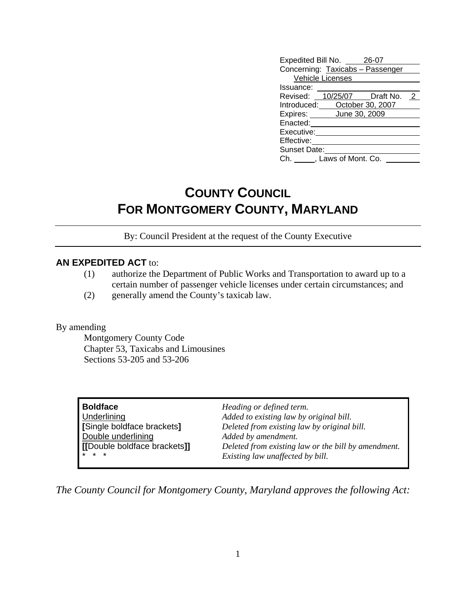| Expedited Bill No. 26-07     |                         |                                  |             |
|------------------------------|-------------------------|----------------------------------|-------------|
|                              |                         | Concerning: Taxicabs - Passenger |             |
|                              | <b>Vehicle Licenses</b> |                                  |             |
| Issuance:                    |                         |                                  |             |
|                              |                         | Revised: 10/25/07 Draft No.      | $2^{\circ}$ |
| Introduced: October 30, 2007 |                         |                                  |             |
| Expires: June 30, 2009       |                         |                                  |             |
| Enacted:                     |                         |                                  |             |
| Executive:                   |                         |                                  |             |
| Effective:                   |                         |                                  |             |
| Sunset Date:                 |                         |                                  |             |
| Ch. , Laws of Mont. Co.      |                         |                                  |             |

## **COUNTY COUNCIL FOR MONTGOMERY COUNTY, MARYLAND**

By: Council President at the request of the County Executive

## **AN EXPEDITED ACT** to:

- (1) authorize the Department of Public Works and Transportation to award up to a certain number of passenger vehicle licenses under certain circumstances; and
- (2) generally amend the County's taxicab law.

By amending

 Montgomery County Code Chapter 53, Taxicabs and Limousines Sections 53-205 and 53-206

| Boldface                     | Heading or defined term.                            |
|------------------------------|-----------------------------------------------------|
| Underlining                  | Added to existing law by original bill.             |
| [Single boldface brackets]   | Deleted from existing law by original bill.         |
| Double underlining           | Added by amendment.                                 |
| [[Double boldface brackets]] | Deleted from existing law or the bill by amendment. |
| $* * *$                      | Existing law unaffected by bill.                    |

*The County Council for Montgomery County, Maryland approves the following Act:*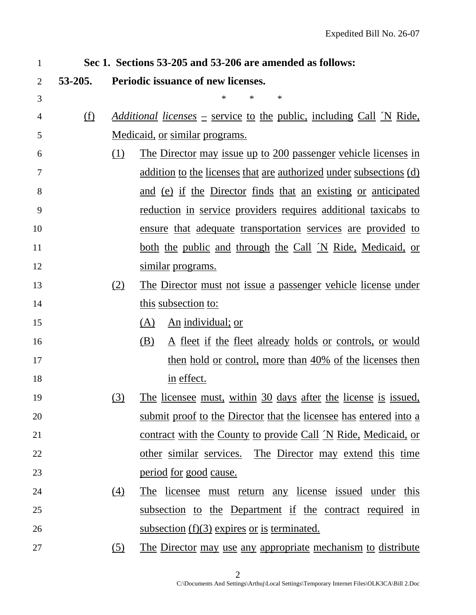| 1              |         |     | Sec 1. Sections 53-205 and 53-206 are amended as follows:                                          |
|----------------|---------|-----|----------------------------------------------------------------------------------------------------|
| $\overline{2}$ | 53-205. |     | <b>Periodic issuance of new licenses.</b>                                                          |
| 3              |         |     | ∗<br>*<br>∗                                                                                        |
| 4              | (f)     |     | <u>Additional licenses – service to the public, including Call <math>\overline{N}</math> Ride,</u> |
| 5              |         |     | <u>Medicaid, or similar programs.</u>                                                              |
| 6              |         | (1) | <u>The Director may issue up to 200 passenger vehicle licenses in</u>                              |
| 7              |         |     | <u>addition to the licenses that are authorized under subsections (d)</u>                          |
| 8              |         |     | and (e) if the Director finds that an existing or anticipated                                      |
| 9              |         |     | <u>reduction in service providers requires additional taxicabs to</u>                              |
| 10             |         |     | <u>ensure</u> that adequate transportation services are provided to                                |
| 11             |         |     | <u>both the public and through the Call 'N Ride, Medicaid, or</u>                                  |
| 12             |         |     | <u>similar</u> programs.                                                                           |
| 13             |         | (2) | <u>The Director must not issue a passenger vehicle license under</u>                               |
| 14             |         |     | this subsection to:                                                                                |
| 15             |         |     | <u>An individual; or</u><br>(A)                                                                    |
| 16             |         |     | <u>A fleet if the fleet already holds or controls, or would</u><br>(B)                             |
| 17             |         |     | then hold or control, more than 40% of the licenses then                                           |
| 18             |         |     | in effect.                                                                                         |
| 19             |         | (3) | The licensee must, within 30 days after the license is issued,                                     |
| 20             |         |     | submit proof to the Director that the licensee has entered into a                                  |
| 21             |         |     | contract with the County to provide Call N Ride, Medicaid, or                                      |
| 22             |         |     | other similar services. The Director may extend this time                                          |
| 23             |         |     | <u>period for good cause.</u>                                                                      |
| 24             |         | (4) | The licensee must return any license issued under this                                             |
| 25             |         |     | subsection to the Department if the contract required in                                           |
| 26             |         |     | subsection $(f)(3)$ expires or is terminated.                                                      |
| 27             |         | (5) | The Director may use any appropriate mechanism to distribute                                       |